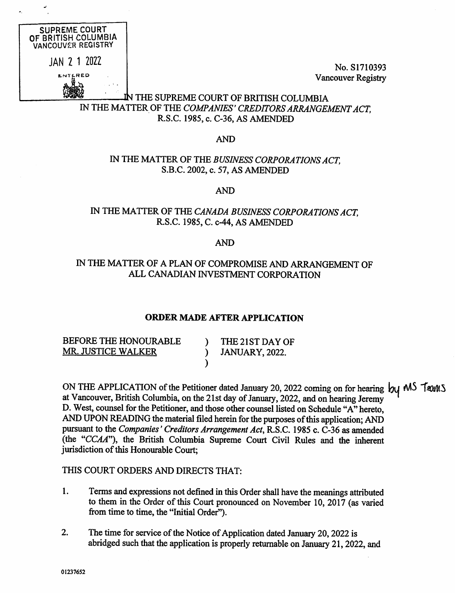

Vancouver Registry

## LN THE SUPREME COURT OF BRITISH COLUMBIA IN THE MATTER OF THE COMPANIES' CREDITORS ARRANGEMENT ACT. R.S.C. 1985, c. C-36, AS AMENDED

#### AND

## IN THE MATTER OF THE BUSINESS CORPORATIONS ACT, S.B.C. 2002, c. 57, AS AMENDED

AND

## IN THE MATTER OF THE CANADA BUSINESS CORPORATIONS ACT, R.S.C. 1985, C. c-44, AS AMENDED

#### AND

#### IN THE MATTER OF A PLAN OF COMPROMISE AND ARRANGEMENT OF ALL CANADIAN INVESTMENT CORPORATION

#### ORDER MADE AFTER APPLICATION

)

BEFORE THE HONOURABLE MR. JUSTICE WALKER

) THE 21ST DAY OF ) JANUARY, 2022.

ON THE APPLICATION of the Petitioner dated January 20, 2022 coming on for hearing  $\mathcal{h}_1$  MS  $\mathcal{T}_{\alpha}$ at Vancouver, British Columbia, on the 21st day of January, 2022, and on hearing Jeremy D. West, counsel for the Petitioner, and those other counsel listed on Schedule "A" hereto, AND UPON READING the material filed herein for the purposes of this application; AND pursuant to the Companies' Creditors Arrangement Act, R.S.C. 1985 c. C-36 as amended (the "CCAA"), the British Columbia Supreme Court Civil Rules and the inherent jurisdiction of this Honourable Court;

#### THIS COURT ORDERS AND DIRECTS THAT:

- 1. Terms and expressions not defined in this Order shall have the meanings attributed to them in the Order of this Court pronounced on November 10, 2017 (as varied from time to time, the "Initial Order").
- 2. The time for service of the Notice of Application dated January 20, 2022 is abridged such that the application is properly returnable on January 21, 2022, and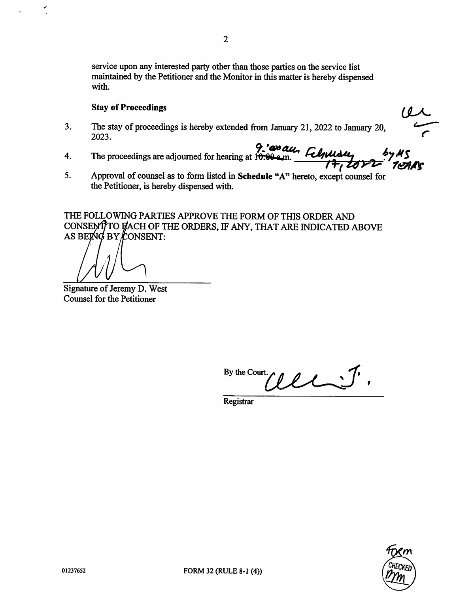$\overline{2}$ 

service upon any interested party other than those parties on the service list maintained by the Petitioner and the Monitor in this matter is hereby dispensed with.

#### Stay of Proceedings

- 3. The stay of proceedings is hereby extended from January 21, 2022 to January 20, 2023.
- 4. The proceedings are adjourned for hearing at  $r_{\text{c}}$  and Felminally 1<del>7, 207</del>
- 5. Approval of counsel as to form listed in Schedule "A" hereto, except counsel for the Petitioner, is hereby dispensed with.

THE FOLLOWING PARTIES APPROVE THE FORM OF THIS ORDER AND CONSENT TO FACH OF THE ORDERS, IF ANY, THAT ARE INDICATED ABOVE AS BEING BY CONSENT:

Signature of Jeremy D. West Counsel for the Petitioner

By the Court.  $\bullet$ 

Registrar



 $U$ 

4.---- r